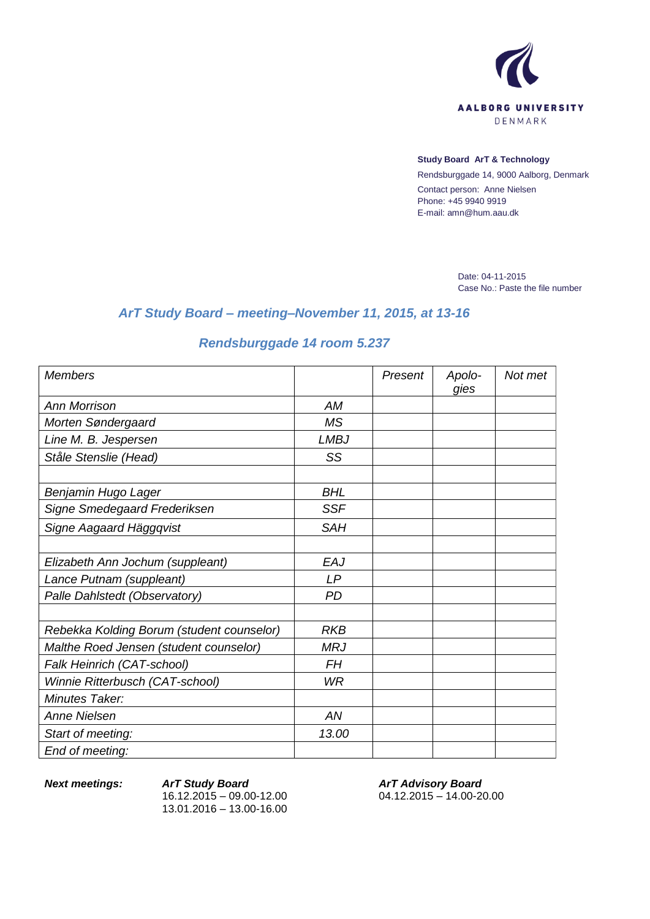

## **Study Board ArT & Technology**

Rendsburggade 14, 9000 Aalborg, Denmark Contact person: Anne Nielsen Phone: +45 9940 9919 E-mail: amn@hum.aau.dk

> Date: 04-11-2015 Case No.: Paste the file number

## *ArT Study Board – meeting–November 11, 2015, at 13-16*

## *Rendsburggade 14 room 5.237*

| <b>Members</b>                            |             | Present | Apolo-<br>gies | Not met |
|-------------------------------------------|-------------|---------|----------------|---------|
| <b>Ann Morrison</b>                       | AM          |         |                |         |
| Morten Søndergaard                        | <b>MS</b>   |         |                |         |
| Line M. B. Jespersen                      | <b>LMBJ</b> |         |                |         |
| Ståle Stenslie (Head)                     | SS          |         |                |         |
|                                           |             |         |                |         |
| Benjamin Hugo Lager                       | <b>BHL</b>  |         |                |         |
| Signe Smedegaard Frederiksen              | <b>SSF</b>  |         |                |         |
| Signe Aagaard Häggqvist                   | <b>SAH</b>  |         |                |         |
|                                           |             |         |                |         |
| Elizabeth Ann Jochum (suppleant)          | EAJ         |         |                |         |
| Lance Putnam (suppleant)                  | LP          |         |                |         |
| Palle Dahlstedt (Observatory)             | <b>PD</b>   |         |                |         |
|                                           |             |         |                |         |
| Rebekka Kolding Borum (student counselor) | <b>RKB</b>  |         |                |         |
| Malthe Roed Jensen (student counselor)    | <b>MRJ</b>  |         |                |         |
| Falk Heinrich (CAT-school)                | FH          |         |                |         |
| Winnie Ritterbusch (CAT-school)           | <b>WR</b>   |         |                |         |
| Minutes Taker:                            |             |         |                |         |
| <b>Anne Nielsen</b>                       | AN          |         |                |         |
| Start of meeting:                         | 13.00       |         |                |         |
| End of meeting:                           |             |         |                |         |

*Next meetings: ArT Study Board* 16.12.2015 – 09.00-12.00 13.01.2016 – 13.00-16.00

*ArT Advisory Board* 04.12.2015 – 14.00-20.00